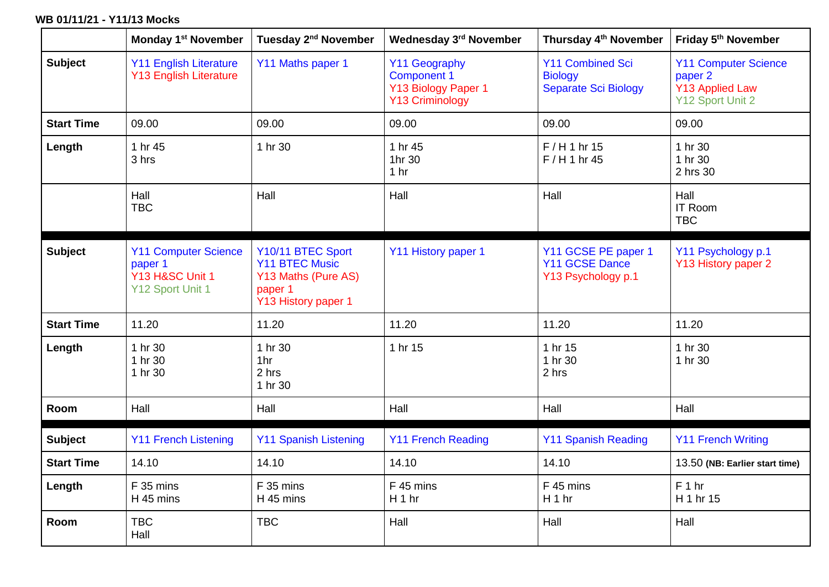## **WB 01/11/21 - Y11/13 Mocks**

|                   | <b>Monday 1st November</b>                                                    | Tuesday 2 <sup>nd</sup> November                                                                    | Wednesday 3rd November                                                        | Thursday 4 <sup>th</sup> November                                        | Friday 5 <sup>th</sup> November                                                      |
|-------------------|-------------------------------------------------------------------------------|-----------------------------------------------------------------------------------------------------|-------------------------------------------------------------------------------|--------------------------------------------------------------------------|--------------------------------------------------------------------------------------|
| <b>Subject</b>    | <b>Y11 English Literature</b><br><b>Y13 English Literature</b>                | Y11 Maths paper 1                                                                                   | Y11 Geography<br><b>Component 1</b><br>Y13 Biology Paper 1<br>Y13 Criminology | <b>Y11 Combined Sci</b><br><b>Biology</b><br><b>Separate Sci Biology</b> | <b>Y11 Computer Science</b><br>paper 2<br><b>Y13 Applied Law</b><br>Y12 Sport Unit 2 |
| <b>Start Time</b> | 09.00                                                                         | 09.00                                                                                               | 09.00                                                                         | 09.00                                                                    | 09.00                                                                                |
| Length            | 1 hr 45<br>3 hrs                                                              | 1 hr 30                                                                                             | 1 hr 45<br>1hr 30<br>1 <sub>hr</sub>                                          | $F/H1$ hr 15<br>F/H 1 hr 45                                              | 1 hr 30<br>1 hr 30<br>2 hrs 30                                                       |
|                   | Hall<br><b>TBC</b>                                                            | Hall                                                                                                | Hall                                                                          | Hall                                                                     | Hall<br><b>IT Room</b><br><b>TBC</b>                                                 |
| <b>Subject</b>    | <b>Y11 Computer Science</b><br>paper 1<br>Y13 H&SC Unit 1<br>Y12 Sport Unit 1 | Y10/11 BTEC Sport<br><b>Y11 BTEC Music</b><br>Y13 Maths (Pure AS)<br>paper 1<br>Y13 History paper 1 | Y11 History paper 1                                                           | Y11 GCSE PE paper 1<br><b>Y11 GCSE Dance</b><br>Y13 Psychology p.1       | Y11 Psychology p.1<br>Y13 History paper 2                                            |
| <b>Start Time</b> | 11.20                                                                         | 11.20                                                                                               | 11.20                                                                         | 11.20                                                                    | 11.20                                                                                |
| Length            | 1 hr 30<br>1 hr 30<br>1 hr 30                                                 | 1 hr 30<br>1hr<br>2 hrs<br>1 hr 30                                                                  | 1 hr 15                                                                       | 1 hr 15<br>1 hr 30<br>2 hrs                                              | 1 hr 30<br>1 hr 30                                                                   |
| Room              | Hall                                                                          | Hall                                                                                                | Hall                                                                          | Hall                                                                     | Hall                                                                                 |
| <b>Subject</b>    | <b>Y11 French Listening</b>                                                   | <b>Y11 Spanish Listening</b>                                                                        | <b>Y11 French Reading</b>                                                     | <b>Y11 Spanish Reading</b>                                               | <b>Y11 French Writing</b>                                                            |
| <b>Start Time</b> | 14.10                                                                         | 14.10                                                                                               | 14.10                                                                         | 14.10                                                                    | 13.50 (NB: Earlier start time)                                                       |
| Length            | F 35 mins<br>H 45 mins                                                        | F 35 mins<br>H 45 mins                                                                              | F 45 mins<br>H <sub>1</sub> hr                                                | F 45 mins<br>H 1 hr                                                      | F 1 hr<br>H 1 hr 15                                                                  |
| <b>Room</b>       | <b>TBC</b><br>Hall                                                            | <b>TBC</b>                                                                                          | Hall                                                                          | Hall                                                                     | Hall                                                                                 |